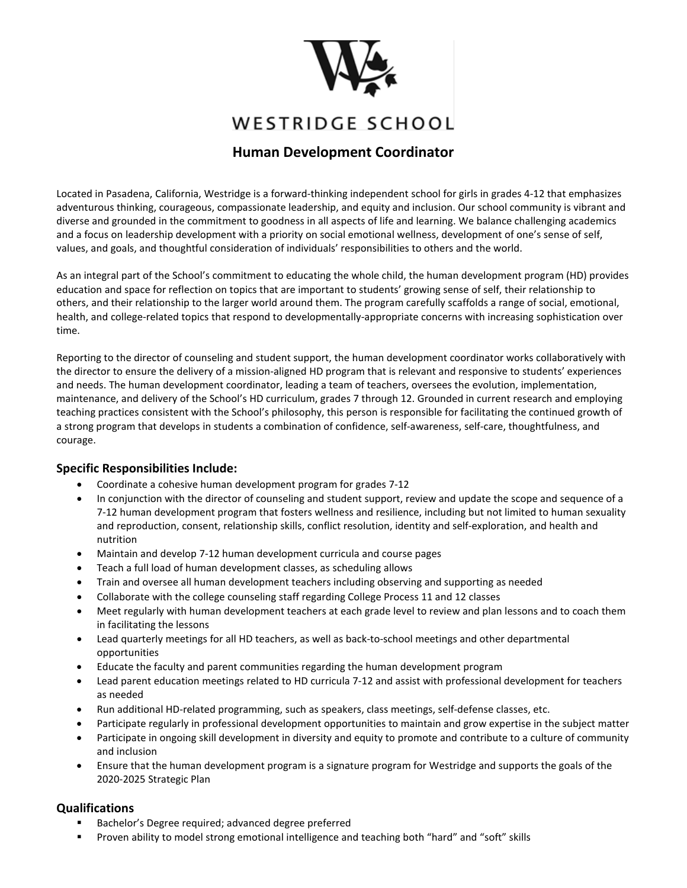

# WESTRIDGE SCHOOL

# **Human Development Coordinator**

Located in Pasadena, California, Westridge is a forward-thinking independent school for girls in grades 4-12 that emphasizes adventurous thinking, courageous, compassionate leadership, and equity and inclusion. Our school community is vibrant and diverse and grounded in the commitment to goodness in all aspects of life and learning. We balance challenging academics and a focus on leadership development with a priority on social emotional wellness, development of one's sense of self, values, and goals, and thoughtful consideration of individuals' responsibilities to others and the world.

As an integral part of the School's commitment to educating the whole child, the human development program (HD) provides education and space for reflection on topics that are important to students' growing sense of self, their relationship to others, and their relationship to the larger world around them. The program carefully scaffolds a range of social, emotional, health, and college-related topics that respond to developmentally-appropriate concerns with increasing sophistication over time.

Reporting to the director of counseling and student support, the human development coordinator works collaboratively with the director to ensure the delivery of a mission-aligned HD program that is relevant and responsive to students' experiences and needs. The human development coordinator, leading a team of teachers, oversees the evolution, implementation, maintenance, and delivery of the School's HD curriculum, grades 7 through 12. Grounded in current research and employing teaching practices consistent with the School's philosophy, this person is responsible for facilitating the continued growth of a strong program that develops in students a combination of confidence, self-awareness, self-care, thoughtfulness, and courage.

## **Specific Responsibilities Include:**

- Coordinate a cohesive human development program for grades 7-12
- In conjunction with the director of counseling and student support, review and update the scope and sequence of a 7-12 human development program that fosters wellness and resilience, including but not limited to human sexuality and reproduction, consent, relationship skills, conflict resolution, identity and self-exploration, and health and nutrition
- Maintain and develop 7-12 human development curricula and course pages
- Teach a full load of human development classes, as scheduling allows
- Train and oversee all human development teachers including observing and supporting as needed
- Collaborate with the college counseling staff regarding College Process 11 and 12 classes
- Meet regularly with human development teachers at each grade level to review and plan lessons and to coach them in facilitating the lessons
- Lead quarterly meetings for all HD teachers, as well as back-to-school meetings and other departmental opportunities
- Educate the faculty and parent communities regarding the human development program
- Lead parent education meetings related to HD curricula 7-12 and assist with professional development for teachers as needed
- Run additional HD-related programming, such as speakers, class meetings, self-defense classes, etc.
- Participate regularly in professional development opportunities to maintain and grow expertise in the subject matter
- Participate in ongoing skill development in diversity and equity to promote and contribute to a culture of community and inclusion
- Ensure that the human development program is a signature program for Westridge and supports the goals of the 2020-2025 Strategic Plan

## **Qualifications**

- Bachelor's Degree required; advanced degree preferred
- **Proven ability to model strong emotional intelligence and teaching both "hard" and "soft" skills**